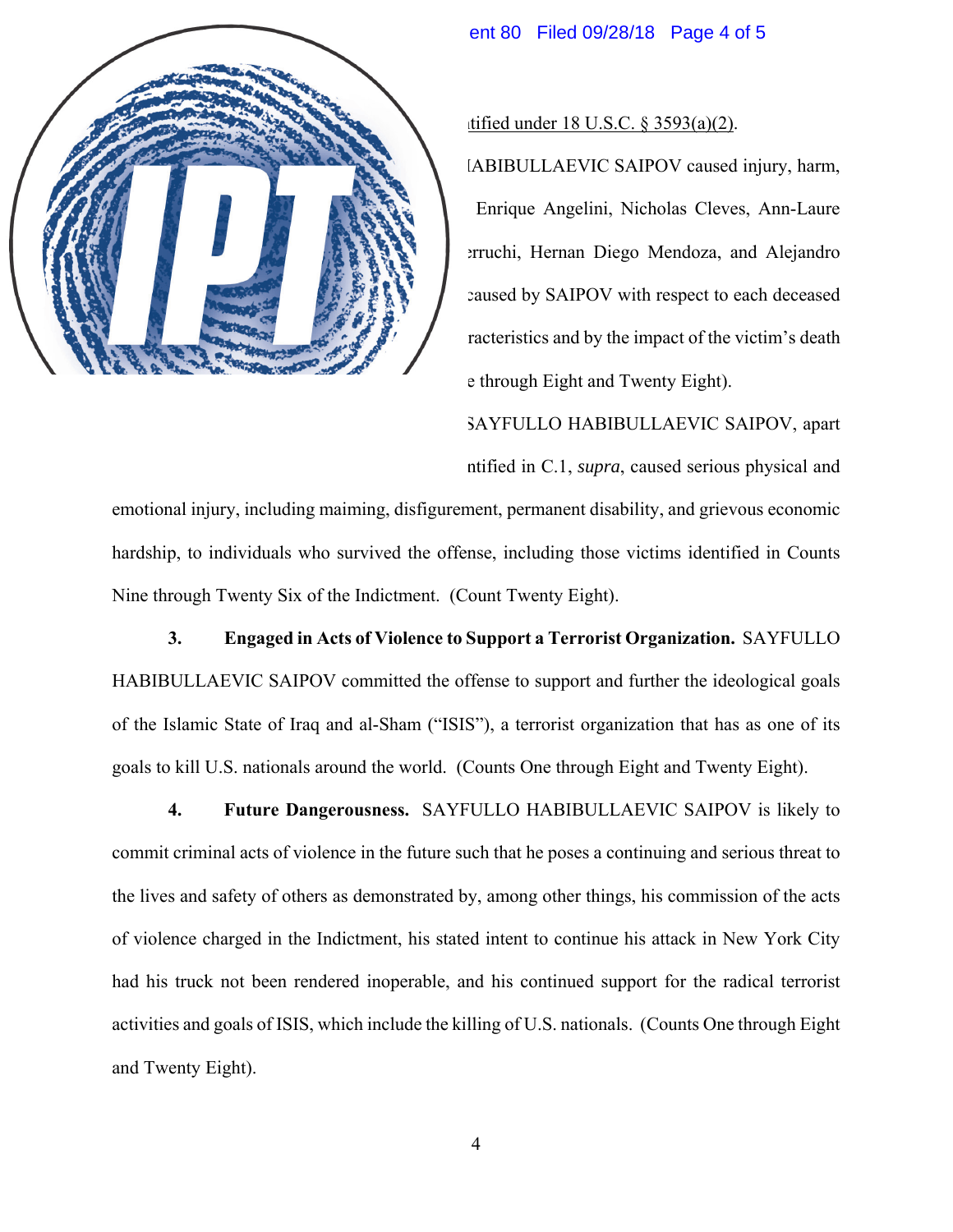## Case 1:17-cr-00722-VSB Document 80 Filed 09/28/18 Page 4 of 5

## C. Non-Statutory Aggravating Factors Identified under 18 U.S.C. § 3593(a)(2).

**1. Victim Impact.** SAYFULLO HABIBULLAEVIC SAIPOV caused injury, harm, and loss to the families and friends of Diego Enrique Angelini, Nicholas Cleves, Ann-Laure Decadt, Darren Drake, Ariel Erlij, Hernan Ferruchi, Hernan Diego Mendoza, and Alejandro Damian Pagnucco. The injury, harm, and loss caused by SAIPOV with respect to each deceased victim is evidenced by the victim's personal characteristics and by the impact of the victim's death upon his or her family and friends. (Counts One through Eight and Twenty Eight).

**2. Injury to Surviving Victims.** SAYFULLO HABIBULLAEVIC SAIPOV, apart from the impact of the deaths of victims as identified in C.1, *supra*, caused serious physical and emotional injury, including maiming, disfigurement, permanent disability, and grievous economic hardship, to individuals who survived the offense, including those victims identified in Counts Nine through Twenty Six of the Indictment. (Count Twenty Eight).

**3. Engaged in Acts of Violence to Support a Terrorist Organization.** SAYFULLO HABIBULLAEVIC SAIPOV committed the offense to support and further the ideological goals of the Islamic State of Iraq and al-Sham ("ISIS"), a terrorist organization that has as one of its goals to kill U.S. nationals around the world. (Counts One through Eight and Twenty Eight).

**4. Future Dangerousness.** SAYFULLO HABIBULLAEVIC SAIPOV is likely to commit criminal acts of violence in the future such that he poses a continuing and serious threat to the lives and safety of others as demonstrated by, among other things, his commission of the acts of violence charged in the Indictment, his stated intent to continue his attack in New York City had his truck not been rendered inoperable, and his continued support for the radical terrorist activities and goals of ISIS, which include the killing of U.S. nationals. (Counts One through Eight and Twenty Eight).

4